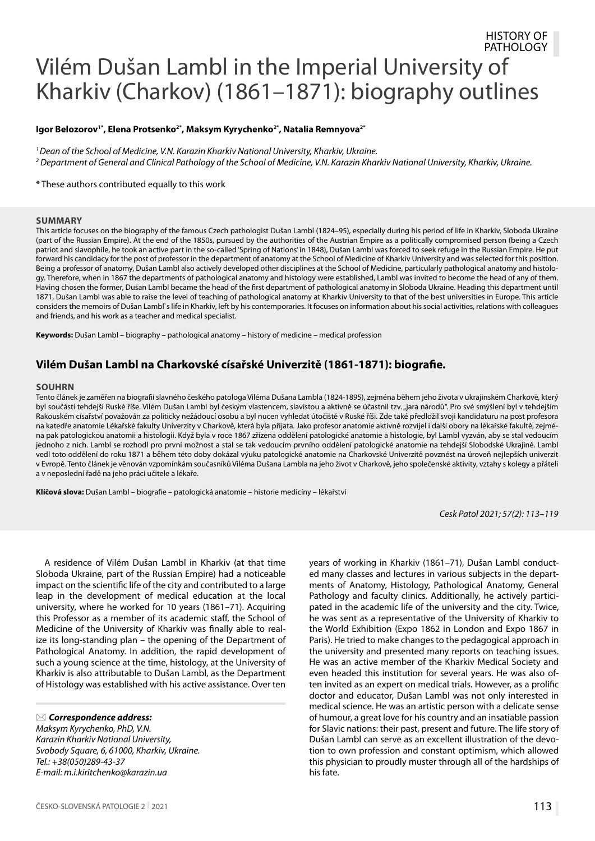#### HISTORY OF PATHOLOGY

# Vilém Dušan Lambl in the Imperial University of Kharkiv (Charkov) (1861–1871): biography outlines

#### **Igor Belozоrov1\*, Elena Protsenko2\*, Maksym Kyrychenko2\*, Natalia Remnyova2\***

*1 Dean of the School of Medicine, V.N. Karazin Kharkiv National University, Kharkiv, Ukraine. 2 Department of General and Clinical Pathology of the School of Medicine, V.N. Karazin Kharkiv National University, Kharkiv, Ukraine.*

\* These authors contributed equally to this work

#### **SUMMARY**

This article focuses on the biography of the famous Czech pathologist Dušan Lambl (1824–95), especially during his period of life in Kharkiv, Sloboda Ukraine (part of the Russian Empire). At the end of the 1850s, pursued by the authorities of the Austrian Empire as a politically compromised person (being a Czech patriot and slavophile, he took an active part in the so-called 'Spring of Nations' in 1848), Dušan Lambl was forced to seek refuge in the Russian Empire. He put forward his candidacy for the post of professor in the department of anatomy at the School of Medicine of Kharkiv University and was selected for this position. Being a professor of anatomy, Dušan Lambl also actively developed other disciplines at the School of Medicine, particularly pathological anatomy and histology. Therefore, when in 1867 the departments of pathological anatomy and histology were established, Lambl was invited to become the head of any of them. Having chosen the former, Dušan Lambl became the head of the first department of pathological anatomy in Sloboda Ukraine. Heading this department until 1871, Dušan Lambl was able to raise the level of teaching of pathological anatomy at Kharkiv University to that of the best universities in Europe. This article considers the memoirs of Dušan Lambl`s life in Kharkiv, left by his contemporaries. It focuses on information about his social activities, relations with colleagues and friends, and his work as a teacher and medical specialist.

**Keywords:** Dušan Lambl – biography – pathological anatomy – history of medicine – medical profession

## **Vilém Dušan Lambl na Charkovské císařské Univerzitě (1861-1871): biografie.**

#### **SOUHRN**

Tento článek je zaměřen na biografii slavného českého patologa Viléma Dušana Lambla (1824-1895), zejména během jeho života v ukrajinském Charkově, který byl součástí tehdejší Ruské říše. Vilém Dušan Lambl byl českým vlastencem, slavistou a aktivně se účastnil tzv. "jara národů". Pro své smýšlení byl v tehdejším Rakouském císařství považován za politicky nežádoucí osobu a byl nucen vyhledat útočiště v Ruské říši. Zde také předložil svoji kandidaturu na post profesora na katedře anatomie Lékařské fakulty Univerzity v Charkově, která byla přijata. Jako profesor anatomie aktivně rozvíjel i další obory na lékařské fakultě, zejména pak patologickou anatomii a histologii. Když byla v roce 1867 zřízena oddělení patologické anatomie a histologie, byl Lambl vyzván, aby se stal vedoucím jednoho z nich. Lambl se rozhodl pro první možnost a stal se tak vedoucím prvního oddělení patologické anatomie na tehdejší Slobodské Ukrajině. Lambl vedl toto oddělení do roku 1871 a během této doby dokázal výuku patologické anatomie na Charkovské Univerzitě povznést na úroveň nejlepších univerzit v Evropě. Tento článek je věnován vzpomínkám současníků Viléma Dušana Lambla na jeho život v Charkově, jeho společenské aktivity, vztahy s kolegy a přáteli a v neposlední řadě na jeho práci učitele a lékaře.

**Klíčová slova:** Dušan Lambl – biografie – patologická anatomie – historie medicíny – lékařství

*Cesk Patol 2021; 57(2): 113–119*

A residence of Vilém Dušan Lambl in Kharkiv (at that time Sloboda Ukraine, part of the Russian Empire) had a noticeable impact on the scientific life of the city and contributed to a large leap in the development of medical education at the local university, where he worked for 10 years (1861–71). Acquiring this Professor as a member of its academic staff, the School of Medicine of the University of Kharkiv was finally able to realize its long-standing plan – the opening of the Department of Pathological Anatomy. In addition, the rapid development of such a young science at the time, histology, at the University of Kharkiv is also attributable to Dušan Lambl, as the Department of Histology was established with his active assistance. Over ten

*Correspondence address:* 

*Maksym Kyrychenko, PhD, V.N. Karazin Kharkiv National University, Svobody Square, 6, 61000, Kharkiv, Ukraine. Tel.: +38(050)289-43-37 E-mail: m.i.kiritchenko@karazin.ua*

years of working in Kharkiv (1861–71), Dušan Lambl conducted many classes and lectures in various subjects in the departments of Anatomy, Histology, Pathological Anatomy, General Pathology and faculty clinics. Additionally, he actively participated in the academic life of the university and the city. Twice, he was sent as a representative of the University of Kharkiv to the World Exhibition (Expo 1862 in London and Expo 1867 in Paris). He tried to make changes to the pedagogical approach in the university and presented many reports on teaching issues. He was an active member of the Kharkiv Medical Society and even headed this institution for several years. He was also often invited as an expert on medical trials. However, as a prolific doctor and educator, Dušan Lambl was not only interested in medical science. He was an artistic person with a delicate sense of humour, a great love for his country and an insatiable passion for Slavic nations: their past, present and future. The life story of Dušan Lambl can serve as an excellent illustration of the devotion to own profession and constant optimism, which allowed this physician to proudly muster through all of the hardships of his fate.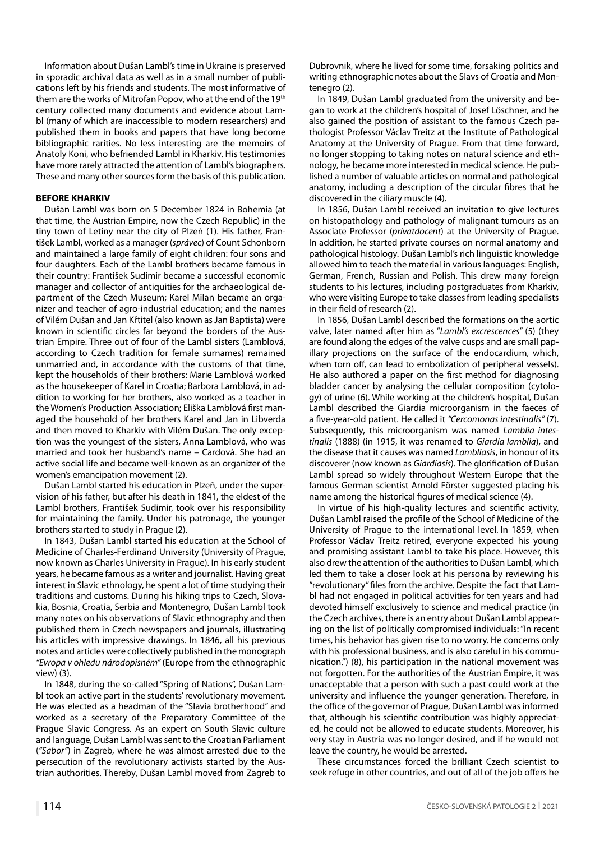Information about Dušan Lambl's time in Ukraine is preserved in sporadic archival data as well as in a small number of publications left by his friends and students. The most informative of them are the works of Mitrofan Popov, who at the end of the 19th century collected many documents and evidence about Lambl (many of which are inaccessible to modern researchers) and published them in books and papers that have long become bibliographic rarities. No less interesting are the memoirs of Anatoly Koni, who befriended Lambl in Kharkiv. His testimonies have more rarely attracted the attention of Lambl's biographers. These and many other sources form the basis of this publication.

#### **BEFORE KHARKIV**

Dušan Lambl was born on 5 December 1824 in Bohemia (at that time, the Austrian Empire, now the Czech Republic) in the tiny town of Letiny near the city of Plzeň (1). His father, František Lambl, worked as a manager (*správеc*) of Count Schonborn and maintained a large family of eight children: four sons and four daughters. Each of the Lambl brothers became famous in their country: František Sudimir became a successful economic manager and collector of antiquities for the archaeological department of the Czech Museum; Karel Milan became an organizer and teacher of agro-industrial education; and the names of Vilém Dušan and Jan Křtitel (also known as Jan Baptista) were known in scientific circles far beyond the borders of the Austrian Empire. Three out of four of the Lambl sisters (Lamblová, according to Czech tradition for female surnames) remained unmarried and, in accordance with the customs of that time, kept the households of their brothers: Marie Lamblová worked as the housekeeper of Karel in Croatia; Barbora Lamblová, in addition to working for her brothers, also worked as a teacher in the Women's Production Association; Eliška Lamblová first managed the household of her brothers Karel and Jan in Libverda and then moved to Kharkiv with Vilém Dušan. The only exception was the youngest of the sisters, Anna Lamblová, who was married and took her husband's name – Cardová. She had an active social life and became well-known as an organizer of the women's emancipation movement (2).

Dušan Lambl started his education in Plzeň, under the supervision of his father, but after his death in 1841, the eldest of the Lambl brothers, František Sudimir, took over his responsibility for maintaining the family. Under his patronage, the younger brothers started to study in Prague (2).

In 1843, Dušan Lambl started his education at the School of Medicine of Charles-Ferdinand University (University of Prague, now known as Charles University in Prague). In his early student years, he became famous as a writer and journalist. Having great interest in Slavic ethnology, he spent a lot of time studying their traditions and customs. During his hiking trips to Czech, Slovakia, Bosnia, Croatia, Serbia and Montenegro, Dušan Lambl took many notes on his observations of Slavic ethnography and then published them in Czech newspapers and journals, illustrating his articles with impressive drawings. In 1846, all his previous notes and articles were collectively published in the monograph *"Evropa v ohledu národopisném"* (Europe from the ethnographic view) (3).

In 1848, during the so-called "Spring of Nations", Dušan Lambl took an active part in the students' revolutionary movement. He was elected as a headman of the "Slavia brotherhood" and worked as a secretary of the Preparatory Committee of the Prague Slavic Congress. As an expert on South Slavic culture and language, Dušan Lambl was sent to the Croatian Parliament (*"Sabor"*) in Zagreb, where he was almost arrested due to the persecution of the revolutionary activists started by the Austrian authorities. Thereby, Dušan Lambl moved from Zagreb to Dubrovnik, where he lived for some time, forsaking politics and writing ethnographic notes about the Slavs of Croatia and Montenegro (2).

In 1849, Dušan Lambl graduated from the university and began to work at the children's hospital of Josef Löschner, and he also gained the position of assistant to the famous Czech pathologist Professor Václav Treitz at the Institute of Pathological Anatomy at the University of Prague. From that time forward, no longer stopping to taking notes on natural science and ethnology, he became more interested in medical science. He published a number of valuable articles on normal and pathological anatomy, including a description of the circular fibres that he discovered in the ciliary muscle (4).

In 1856, Dušan Lambl received an invitation to give lectures on histopathology and pathology of malignant tumours as an Associate Professor (*privatdocent*) at the University of Prague. In addition, he started private courses on normal anatomy and pathological histology. Dušan Lambl's rich linguistic knowledge allowed him to teach the material in various languages: English, German, French, Russian and Polish. This drew many foreign students to his lectures, including postgraduates from Kharkiv, who were visiting Europe to take classes from leading specialists in their field of research (2).

In 1856, Dušan Lambl described the formations on the aortic valve, later named after him as "*Lambl's excrescences*" (5) (they are found along the edges of the valve cusps and are small papillary projections on the surface of the endocardium, which, when torn off, can lead to embolization of peripheral vessels). He also authored a paper on the first method for diagnosing bladder cancer by analysing the cellular composition (cytology) of urine (6). While working at the children's hospital, Dušan Lambl described the Giardia microorganism in the faeces of a five-year-old patient. He called it *"Cercomonas intestinalis"* (7). Subsequently, this microorganism was named *Lamblia intestinalis* (1888) (in 1915, it was renamed to *Giardia lamblia*), and the disease that it causes was named *Lambliasis*, in honour of its discoverer (now known as *Giardiasis*). The glorification of Dušan Lambl spread so widely throughout Western Europe that the famous German scientist Arnold Förster suggested placing his name among the historical figures of medical science (4).

In virtue of his high-quality lectures and scientific activity, Dušan Lambl raised the profile of the School of Medicine of the University of Prague to the international level. In 1859, when Professor Václav Treitz retired, everyone expected his young and promising assistant Lambl to take his place. However, this also drew the attention of the authorities to Dušan Lambl, which led them to take a closer look at his persona by reviewing his "revolutionary" files from the archive. Despite the fact that Lambl had not engaged in political activities for ten years and had devoted himself exclusively to science and medical practice (in the Czech archives, there is an entry about Dušan Lambl appearing on the list of politically compromised individuals: "In recent times, his behavior has given rise to no worry. He concerns only with his professional business, and is also careful in his communication.") (8), his participation in the national movement was not forgotten. For the authorities of the Austrian Empire, it was unacceptable that a person with such a past could work at the university and influence the younger generation. Therefore, in the office of the governor of Prague, Dušan Lambl was informed that, although his scientific contribution was highly appreciated, he could not be allowed to educate students. Moreover, his very stay in Austria was no longer desired, and if he would not leave the country, he would be arrested.

These circumstances forced the brilliant Czech scientist to seek refuge in other countries, and out of all of the job offers he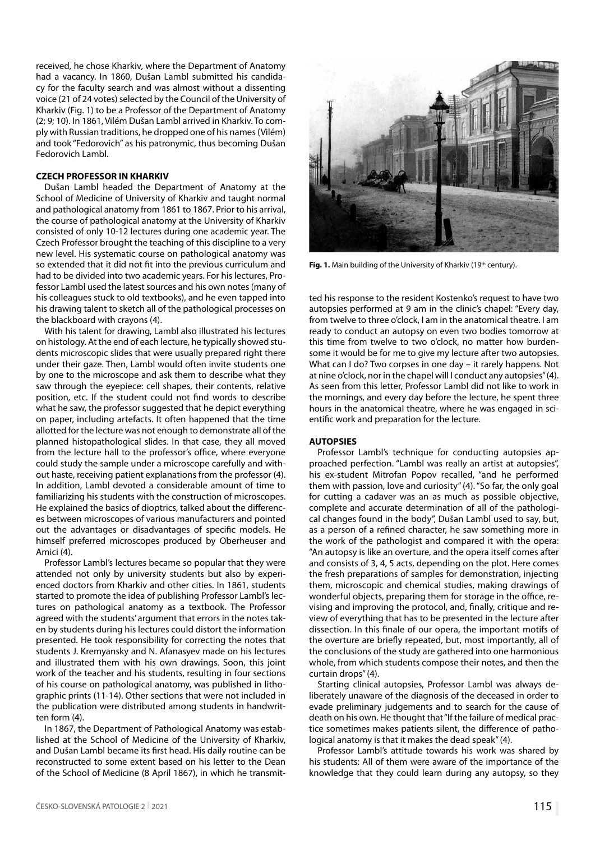received, he chose Kharkiv, where the Department of Anatomy had a vacancy. In 1860, Dušan Lambl submitted his candidacy for the faculty search and was almost without a dissenting voice (21 of 24 votes) selected by the Council of the University of Kharkiv (Fig. 1) to be a Professor of the Department of Anatomy (2; 9; 10). In 1861, Vilém Dušan Lambl arrived in Kharkiv. To comply with Russian traditions, he dropped one of his names (Vilém) and took "Fedorovich" as his patronymic, thus becoming Dušan Fedorovich Lambl.

#### **CZECH PROFESSOR IN KHARKIV**

Dušan Lambl headed the Department of Anatomy at the School of Medicine of University of Kharkiv and taught normal and pathological anatomy from 1861 to 1867. Prior to his arrival, the course of pathological anatomy at the University of Kharkiv consisted of only 10-12 lectures during one academic year. The Czech Professor brought the teaching of this discipline to a very new level. His systematic course on pathological anatomy was so extended that it did not fit into the previous curriculum and had to be divided into two academic years. For his lectures, Professor Lambl used the latest sources and his own notes (many of his colleagues stuck to old textbooks), and he even tapped into his drawing talent to sketch all of the pathological processes on the blackboard with crayons (4).

With his talent for drawing, Lambl also illustrated his lectures on histology. At the end of each lecture, he typically showed students microscopic slides that were usually prepared right there under their gaze. Then, Lambl would often invite students one by one to the microscope and ask them to describe what they saw through the eyepiece: cell shapes, their contents, relative position, etc. If the student could not find words to describe what he saw, the professor suggested that he depict everything on paper, including artefacts. It often happened that the time allotted for the lecture was not enough to demonstrate all of the planned histopathological slides. In that case, they all moved from the lecture hall to the professor's office, where everyone could study the sample under a microscope carefully and without haste, receiving patient explanations from the professor (4). In addition, Lambl devoted a considerable amount of time to familiarizing his students with the construction of microscopes. He explained the basics of dioptrics, talked about the differences between microscopes of various manufacturers and pointed out the advantages or disadvantages of specific models. He himself preferred microscopes produced by Oberheuser and Amici (4).

Professor Lambl's lectures became so popular that they were attended not only by university students but also by experienced doctors from Kharkiv and other cities. In 1861, students started to promote the idea of publishing Professor Lambl's lectures on pathological anatomy as a textbook. The Professor agreed with the students' argument that errors in the notes taken by students during his lectures could distort the information presented. He took responsibility for correcting the notes that students J. Kremyansky and N. Afanasyev made on his lectures and illustrated them with his own drawings. Soon, this joint work of the teacher and his students, resulting in four sections of his course on pathological anatomy, was published in lithographic prints (11-14). Other sections that were not included in the publication were distributed among students in handwritten form (4).

In 1867, the Department of Pathological Anatomy was established at the School of Medicine of the University of Kharkiv, and Dušan Lambl became its first head. His daily routine can be reconstructed to some extent based on his letter to the Dean of the School of Medicine (8 April 1867), in which he transmit-



Fig. 1. Main building of the University of Kharkiv (19<sup>th</sup> century).

ted his response to the resident Kostenko's request to have two autopsies performed at 9 am in the clinic's chapel: "Every day, from twelve to three o'clock, I am in the anatomical theatre. I am ready to conduct an autopsy on even two bodies tomorrow at this time from twelve to two o'clock, no matter how burdensome it would be for me to give my lecture after two autopsies. What can I do? Two corpses in one day – it rarely happens. Not at nine o'clock, nor in the chapel will I conduct any autopsies" (4). As seen from this letter, Professor Lambl did not like to work in the mornings, and every day before the lecture, he spent three hours in the anatomical theatre, where he was engaged in scientific work and preparation for the lecture.

#### **AUTOPSIES**

Professor Lambl's technique for conducting autopsies approached perfection. "Lambl was really an artist at autopsies", his ex-student Mitrofan Popov recalled, "and he performed them with passion, love and curiosity" (4). "So far, the only goal for cutting a cadaver was an as much as possible objective, complete and accurate determination of all of the pathological changes found in the body", Dušan Lambl used to say, but, as a person of a refined character, he saw something more in the work of the pathologist and compared it with the opera: "An autopsy is like an overture, and the opera itself comes after and consists of 3, 4, 5 acts, depending on the plot. Here comes the fresh preparations of samples for demonstration, injecting them, microscopic and chemical studies, making drawings of wonderful objects, preparing them for storage in the office, revising and improving the protocol, and, finally, critique and review of everything that has to be presented in the lecture after dissection. In this finale of our opera, the important motifs of the overture are briefly repeated, but, most importantly, all of the conclusions of the study are gathered into one harmonious whole, from which students compose their notes, and then the curtain drops" (4).

Starting clinical autopsies, Professor Lambl was always deliberately unaware of the diagnosis of the deceased in order to evade preliminary judgements and to search for the cause of death on his own. He thought that "If the failure of medical practice sometimes makes patients silent, the difference of pathological anatomy is that it makes the dead speak" (4).

Professor Lambl's attitude towards his work was shared by his students: All of them were aware of the importance of the knowledge that they could learn during any autopsy, so they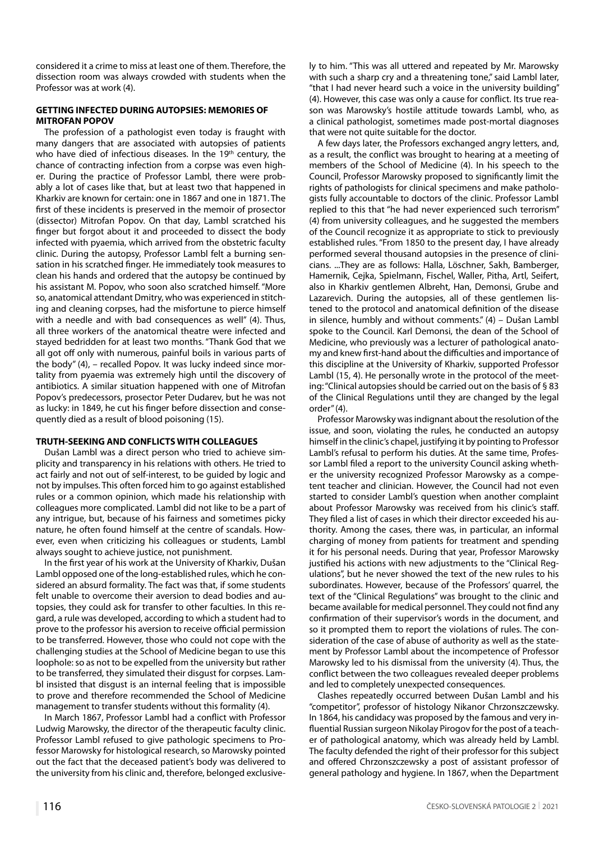considered it a crime to miss at least one of them. Therefore, the dissection room was always crowded with students when the Professor was at work (4).

#### **GETTING INFECTED DURING AUTOPSIES: MEMORIES OF MITROFAN POPOV**

The profession of a pathologist even today is fraught with many dangers that are associated with autopsies of patients who have died of infectious diseases. In the 19<sup>th</sup> century, the chance of contracting infection from a corpse was even higher. During the practice of Professor Lambl, there were probably a lot of cases like that, but at least two that happened in Kharkiv are known for certain: one in 1867 and one in 1871. The first of these incidents is preserved in the memoir of prosector (dissector) Mitrofan Popov. On that day, Lambl scratched his finger but forgot about it and proceeded to dissect the body infected with pyaemia, which arrived from the obstetric faculty clinic. During the autopsy, Professor Lambl felt a burning sensation in his scratched finger. He immediately took measures to clean his hands and ordered that the autopsy be continued by his assistant M. Popov, who soon also scratched himself. "More so, anatomical attendant Dmitry, who was experienced in stitching and cleaning corpses, had the misfortune to pierce himself with a needle and with bad consequences as well" (4). Thus, all three workers of the anatomical theatre were infected and stayed bedridden for at least two months. "Thank God that we all got off only with numerous, painful boils in various parts of the body" (4), – recalled Popov. It was lucky indeed since mortality from pyaemia was extremely high until the discovery of antibiotics. A similar situation happened with one of Mitrofan Popov's predecessors, prosector Peter Dudarev, but he was not as lucky: in 1849, he cut his finger before dissection and consequently died as a result of blood poisoning (15).

#### **TRUTH-SEEKING AND CONFLICTS WITH COLLEAGUES**

Dušan Lambl was a direct person who tried to achieve simplicity and transparency in his relations with others. He tried to act fairly and not out of self-interest, to be guided by logic and not by impulses. This often forced him to go against established rules or a common opinion, which made his relationship with colleagues more complicated. Lambl did not like to be a part of any intrigue, but, because of his fairness and sometimes picky nature, he often found himself at the centre of scandals. However, even when criticizing his colleagues or students, Lambl always sought to achieve justice, not punishment.

In the first year of his work at the University of Kharkiv, Dušan Lambl opposed one of the long-established rules, which he considered an absurd formality. The fact was that, if some students felt unable to overcome their aversion to dead bodies and autopsies, they could ask for transfer to other faculties. In this regard, a rule was developed, according to which a student had to prove to the professor his aversion to receive official permission to be transferred. However, those who could not cope with the challenging studies at the School of Medicine began to use this loophole: so as not to be expelled from the university but rather to be transferred, they simulated their disgust for corpses. Lambl insisted that disgust is an internal feeling that is impossible to prove and therefore recommended the School of Medicine management to transfer students without this formality (4).

In March 1867, Professor Lambl had a conflict with Professor Ludwig Marowsky, the director of the therapeutic faculty clinic. Professor Lambl refused to give pathologic specimens to Professor Marowsky for histological research, so Marowsky pointed out the fact that the deceased patient's body was delivered to the university from his clinic and, therefore, belonged exclusively to him. "This was all uttered and repeated by Mr. Marowsky with such a sharp cry and a threatening tone," said Lambl later, "that I had never heard such a voice in the university building" (4). However, this case was only a cause for conflict. Its true reason was Marowsky's hostile attitude towards Lambl, who, as a clinical pathologist, sometimes made post-mortal diagnoses that were not quite suitable for the doctor.

A few days later, the Professors exchanged angry letters, and, as a result, the conflict was brought to hearing at a meeting of members of the School of Medicine (4). In his speech to the Council, Professor Marowsky proposed to significantly limit the rights of pathologists for clinical specimens and make pathologists fully accountable to doctors of the clinic. Professor Lambl replied to this that "he had never experienced such terrorism" (4) from university colleagues, and he suggested the members of the Council recognize it as appropriate to stick to previously established rules. "From 1850 to the present day, I have already performed several thousand autopsies in the presence of clinicians. ...They are as follows: Halla, Löschner, Sakh, Bamberger, Hamernik, Cejka, Spielmann, Fischel, Waller, Pitha, Artl, Seifert, also in Kharkiv gentlemen Albreht, Han, Demonsi, Grube and Lazarevich. During the autopsies, all of these gentlemen listened to the protocol and anatomical definition of the disease in silence, humbly and without comments." (4) – Dušan Lambl spoke to the Council. Karl Demonsi, the dean of the School of Medicine, who previously was a lecturer of pathological anatomy and knew first-hand about the difficulties and importance of this discipline at the University of Kharkiv, supported Professor Lambl (15, 4). He personally wrote in the protocol of the meeting: "Clinical autopsies should be carried out on the basis of § 83 of the Clinical Regulations until they are changed by the legal order" (4).

Professor Marowsky was indignant about the resolution of the issue, and soon, violating the rules, he conducted an autopsy himself in the clinic's chapel, justifying it by pointing to Professor Lambl's refusal to perform his duties. At the same time, Professor Lambl filed a report to the university Council asking whether the university recognized Professor Marowsky as a competent teacher and clinician. However, the Council had not even started to consider Lambl's question when another complaint about Professor Marowsky was received from his clinic's staff. They filed a list of cases in which their director exceeded his authority. Among the cases, there was, in particular, an informal charging of money from patients for treatment and spending it for his personal needs. During that year, Professor Marowsky justified his actions with new adjustments to the "Clinical Regulations", but he never showed the text of the new rules to his subordinates. However, because of the Professors' quarrel, the text of the "Clinical Regulations" was brought to the clinic and became available for medical personnel. They could not find any confirmation of their supervisor's words in the document, and so it prompted them to report the violations of rules. The consideration of the case of abuse of authority as well as the statement by Professor Lambl about the incompetence of Professor Marowsky led to his dismissal from the university (4). Thus, the conflict between the two colleagues revealed deeper problems and led to completely unexpected consequences.

Clashes repeatedly occurred between Dušan Lambl and his "competitor", professor of histology Nikanor Chrzonszczewsky. In 1864, his candidacy was proposed by the famous and very influential Russian surgeon Nikolay Pirogov for the post of a teacher of pathological anatomy, which was already held by Lambl. The faculty defended the right of their professor for this subject and offered Chrzonszczewsky a post of assistant professor of general pathology and hygiene. In 1867, when the Department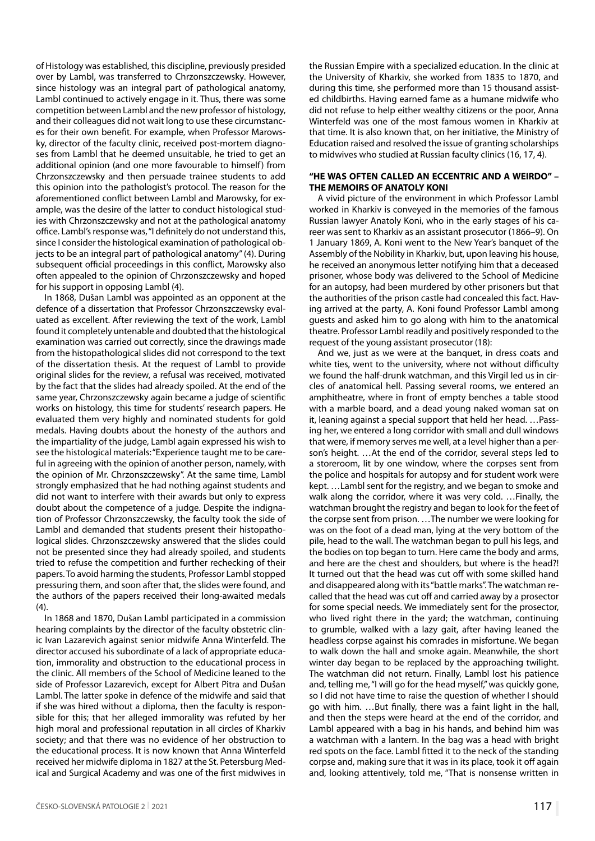of Histology was established, this discipline, previously presided over by Lambl, was transferred to Chrzonszczewsky. However, since histology was an integral part of pathological anatomy, Lambl continued to actively engage in it. Thus, there was some competition between Lambl and the new professor of histology, and their colleagues did not wait long to use these circumstances for their own benefit. For example, when Professor Marowsky, director of the faculty clinic, received post-mortem diagnoses from Lambl that he deemed unsuitable, he tried to get an additional opinion (and one more favourable to himself) from Chrzonszczewsky and then persuade trainee students to add this opinion into the pathologist's protocol. The reason for the aforementioned conflict between Lambl and Marowsky, for example, was the desire of the latter to conduct histological studies with Chrzonszczewsky and not at the pathological anatomy office. Lambl's response was, "I definitely do not understand this, since I consider the histological examination of pathological objects to be an integral part of pathological anatomy" (4). During subsequent official proceedings in this conflict, Marowsky also often appealed to the opinion of Chrzonszczewsky and hoped for his support in opposing Lambl (4).

In 1868, Dušan Lambl was appointed as an opponent at the defence of a dissertation that Professor Chrzonszczewsky evaluated as excellent. After reviewing the text of the work, Lambl found it completely untenable and doubted that the histological examination was carried out correctly, since the drawings made from the histopathological slides did not correspond to the text of the dissertation thesis. At the request of Lambl to provide original slides for the review, a refusal was received, motivated by the fact that the slides had already spoiled. At the end of the same year, Chrzonszczewsky again became a judge of scientific works on histology, this time for students' research papers. He evaluated them very highly and nominated students for gold medals. Having doubts about the honesty of the authors and the impartiality of the judge, Lambl again expressed his wish to see the histological materials: "Experience taught me to be careful in agreeing with the opinion of another person, namely, with the opinion of Mr. Chrzonszczewsky". At the same time, Lambl strongly emphasized that he had nothing against students and did not want to interfere with their awards but only to express doubt about the competence of a judge. Despite the indignation of Professor Chrzonszczewsky, the faculty took the side of Lambl and demanded that students present their histopathological slides. Chrzonszczewsky answered that the slides could not be presented since they had already spoiled, and students tried to refuse the competition and further rechecking of their papers. To avoid harming the students, Professor Lambl stopped pressuring them, and soon after that, the slides were found, and the authors of the papers received their long-awaited medals  $(4).$ 

In 1868 and 1870, Dušan Lambl participated in a commission hearing complaints by the director of the faculty obstetric clinic Ivan Lazarevich against senior midwife Anna Winterfeld. The director accused his subordinate of a lack of appropriate education, immorality and obstruction to the educational process in the clinic. All members of the School of Medicine leaned to the side of Professor Lazarevich, except for Albert Pitra and Dušan Lambl. The latter spoke in defence of the midwife and said that if she was hired without a diploma, then the faculty is responsible for this; that her alleged immorality was refuted by her high moral and professional reputation in all circles of Kharkiv society; and that there was no evidence of her obstruction to the educational process. It is now known that Anna Winterfeld received her midwife diploma in 1827 at the St. Petersburg Medical and Surgical Academy and was one of the first midwives in

the Russian Empire with a specialized education. In the clinic at the University of Kharkiv, she worked from 1835 to 1870, and during this time, she performed more than 15 thousand assisted childbirths. Having earned fame as a humane midwife who did not refuse to help either wealthy citizens or the poor, Anna Winterfeld was one of the most famous women in Kharkiv at that time. It is also known that, on her initiative, the Ministry of Education raised and resolved the issue of granting scholarships to midwives who studied at Russian faculty clinics (16, 17, 4).

#### **"HE WAS OFTEN CALLED AN ECCENTRIC AND A WEIRDO" – THE MEMOIRS OF ANATOLY KONI**

A vivid picture of the environment in which Professor Lambl worked in Kharkiv is conveyed in the memories of the famous Russian lawyer Anatoly Koni, who in the early stages of his career was sent to Kharkiv as an assistant prosecutor (1866–9). On 1 January 1869, A. Koni went to the New Year's banquet of the Assembly of the Nobility in Kharkiv, but, upon leaving his house, he received an anonymous letter notifying him that a deceased prisoner, whose body was delivered to the School of Medicine for an autopsy, had been murdered by other prisoners but that the authorities of the prison castle had concealed this fact. Having arrived at the party, A. Koni found Professor Lambl among guests and asked him to go along with him to the anatomical theatre. Professor Lambl readily and positively responded to the request of the young assistant prosecutor (18):

And we, just as we were at the banquet, in dress coats and white ties, went to the university, where not without difficulty we found the half-drunk watchman, and this Virgil led us in circles of anatomical hell. Passing several rooms, we entered an amphitheatre, where in front of empty benches a table stood with a marble board, and a dead young naked woman sat on it, leaning against a special support that held her head. …Passing her, we entered a long corridor with small and dull windows that were, if memory serves me well, at a level higher than a person's height. …At the end of the corridor, several steps led to a storeroom, lit by one window, where the corpses sent from the police and hospitals for autopsy and for student work were kept. …Lambl sent for the registry, and we began to smoke and walk along the corridor, where it was very cold. …Finally, the watchman brought the registry and began to look for the feet of the corpse sent from prison. …The number we were looking for was on the foot of a dead man, lying at the very bottom of the pile, head to the wall. The watchman began to pull his legs, and the bodies on top began to turn. Here came the body and arms, and here are the chest and shoulders, but where is the head?! It turned out that the head was cut off with some skilled hand and disappeared along with its "battle marks". The watchman recalled that the head was cut off and carried away by a prosector for some special needs. We immediately sent for the prosector, who lived right there in the yard; the watchman, continuing to grumble, walked with a lazy gait, after having leaned the headless corpse against his comrades in misfortune. We began to walk down the hall and smoke again. Meanwhile, the short winter day began to be replaced by the approaching twilight. The watchman did not return. Finally, Lambl lost his patience and, telling me, "I will go for the head myself," was quickly gone, so I did not have time to raise the question of whether I should go with him. …But finally, there was a faint light in the hall, and then the steps were heard at the end of the corridor, and Lambl appeared with a bag in his hands, and behind him was a watchman with a lantern. In the bag was a head with bright red spots on the face. Lambl fitted it to the neck of the standing corpse and, making sure that it was in its place, took it off again and, looking attentively, told me, "That is nonsense written in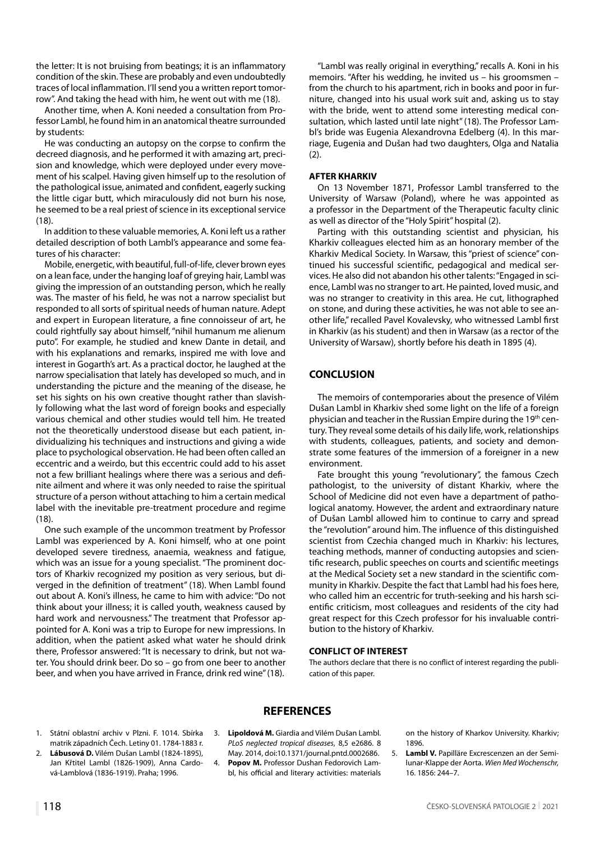the letter: It is not bruising from beatings; it is an inflammatory condition of the skin. These are probably and even undoubtedly traces of local inflammation. I'll send you a written report tomorrow". And taking the head with him, he went out with me (18).

Another time, when A. Koni needed a consultation from Professor Lambl, he found him in an anatomical theatre surrounded by students:

He was conducting an autopsy on the corpse to confirm the decreed diagnosis, and he performed it with amazing art, precision and knowledge, which were deployed under every movement of his scalpel. Having given himself up to the resolution of the pathological issue, animated and confident, eagerly sucking the little cigar butt, which miraculously did not burn his nose, he seemed to be a real priest of science in its exceptional service (18).

In addition to these valuable memories, A. Koni left us a rather detailed description of both Lambl's appearance and some features of his character:

Mobile, energetic, with beautiful, full-of-life, clever brown eyes on a lean face, under the hanging loaf of greying hair, Lambl was giving the impression of an outstanding person, which he really was. The master of his field, he was not a narrow specialist but responded to all sorts of spiritual needs of human nature. Adept and expert in European literature, a fine connoisseur of art, he could rightfully say about himself, "nihil humanum me alienum puto". For example, he studied and knew Dante in detail, and with his explanations and remarks, inspired me with love and interest in Gogarth's art. As a practical doctor, he laughed at the narrow specialisation that lately has developed so much, and in understanding the picture and the meaning of the disease, he set his sights on his own creative thought rather than slavishly following what the last word of foreign books and especially various chemical and other studies would tell him. He treated not the theoretically understood disease but each patient, individualizing his techniques and instructions and giving a wide place to psychological observation. He had been often called an eccentric and a weirdo, but this eccentric could add to his asset not a few brilliant healings where there was a serious and definite ailment and where it was only needed to raise the spiritual structure of a person without attaching to him a certain medical label with the inevitable pre-treatment procedure and regime (18).

One such example of the uncommon treatment by Professor Lambl was experienced by A. Koni himself, who at one point developed severe tiredness, anaemia, weakness and fatigue, which was an issue for a young specialist. "The prominent doctors of Kharkiv recognized my position as very serious, but diverged in the definition of treatment" (18). When Lambl found out about A. Koni's illness, he came to him with advice: "Do not think about your illness; it is called youth, weakness caused by hard work and nervousness." The treatment that Professor appointed for A. Koni was a trip to Europe for new impressions. In addition, when the patient asked what water he should drink there, Professor answered: "It is necessary to drink, but not water. You should drink beer. Do so – go from one beer to another beer, and when you have arrived in France, drink red wine" (18).

"Lambl was really original in everything," recalls A. Koni in his memoirs. "After his wedding, he invited us – his groomsmen – from the church to his apartment, rich in books and poor in furniture, changed into his usual work suit and, asking us to stay with the bride, went to attend some interesting medical consultation, which lasted until late night" (18). The Professor Lambl's bride was Eugenia Alexandrovna Edelberg (4). In this marriage, Eugenia and Dušan had two daughters, Olga and Natalia (2).

#### **AFTER KHARKIV**

On 13 November 1871, Professor Lambl transferred to the University of Warsaw (Poland), where he was appointed as a professor in the Department of the Therapeutic faculty clinic as well as director of the "Holy Spirit" hospital (2).

Parting with this outstanding scientist and physician, his Kharkiv colleagues elected him as an honorary member of the Kharkiv Medical Society. In Warsaw, this "priest of science" continued his successful scientific, pedagogical and medical services. He also did not abandon his other talents: "Engaged in science, Lambl was no stranger to art. He painted, loved music, and was no stranger to creativity in this area. He cut, lithographed on stone, and during these activities, he was not able to see another life," recalled Pavel Kovalevsky, who witnessed Lambl first in Kharkiv (as his student) and then in Warsaw (as a rector of the University of Warsaw), shortly before his death in 1895 (4).

### **CONCLUSION**

The memoirs of contemporaries about the presence of Vilém Dušan Lambl in Kharkiv shed some light on the life of a foreign physician and teacher in the Russian Empire during the 19<sup>th</sup> century. They reveal some details of his daily life, work, relationships with students, colleagues, patients, and society and demonstrate some features of the immersion of a foreigner in a new environment.

Fate brought this young "revolutionary", the famous Czech pathologist, to the university of distant Kharkiv, where the School of Medicine did not even have a department of pathological anatomy. However, the ardent and extraordinary nature of Dušan Lambl allowed him to continue to carry and spread the "revolution" around him. The influence of this distinguished scientist from Czechia changed much in Kharkiv: his lectures, teaching methods, manner of conducting autopsies and scientific research, public speeches on courts and scientific meetings at the Medical Society set a new standard in the scientific community in Kharkiv. Despite the fact that Lambl had his foes here, who called him an eccentric for truth-seeking and his harsh scientific criticism, most colleagues and residents of the city had great respect for this Czech professor for his invaluable contribution to the history of Kharkiv.

#### **CONFLICT OF INTEREST**

The authors declare that there is no conflict of interest regarding the publication of this paper.

#### **REFERENCES**

- 1. Státní oblastní archiv v Plzni. F. 1014. Sbírka matrik západních Čech. Letiny 01. 1784-1883 r.
- 2. **Lábusová D.** Vilém Dušan Lambl (1824-1895), Jan Křtitel Lambl (1826-1909), Anna Cardová-Lamblová (1836-1919). Praha; 1996.
- 3. **Lipoldová M.** Giardia and Vilém Dušan Lambl. *PLoS neglected tropical diseases*, 8,5 e2686. 8 May. 2014, doi:10.1371/journal.pntd.0002686.
- 4. **Popov М.** Professor Dushan Fedorovich Lambl, his official and literary activities: materials

on the history of Kharkov University. Kharkiv; 1896.

5. **Lambl V.** Papilläre Excrescenzen an der Semilunar-Klappe der Aorta. *Wien Med Wochenschr,* 16. 1856: 244–7.